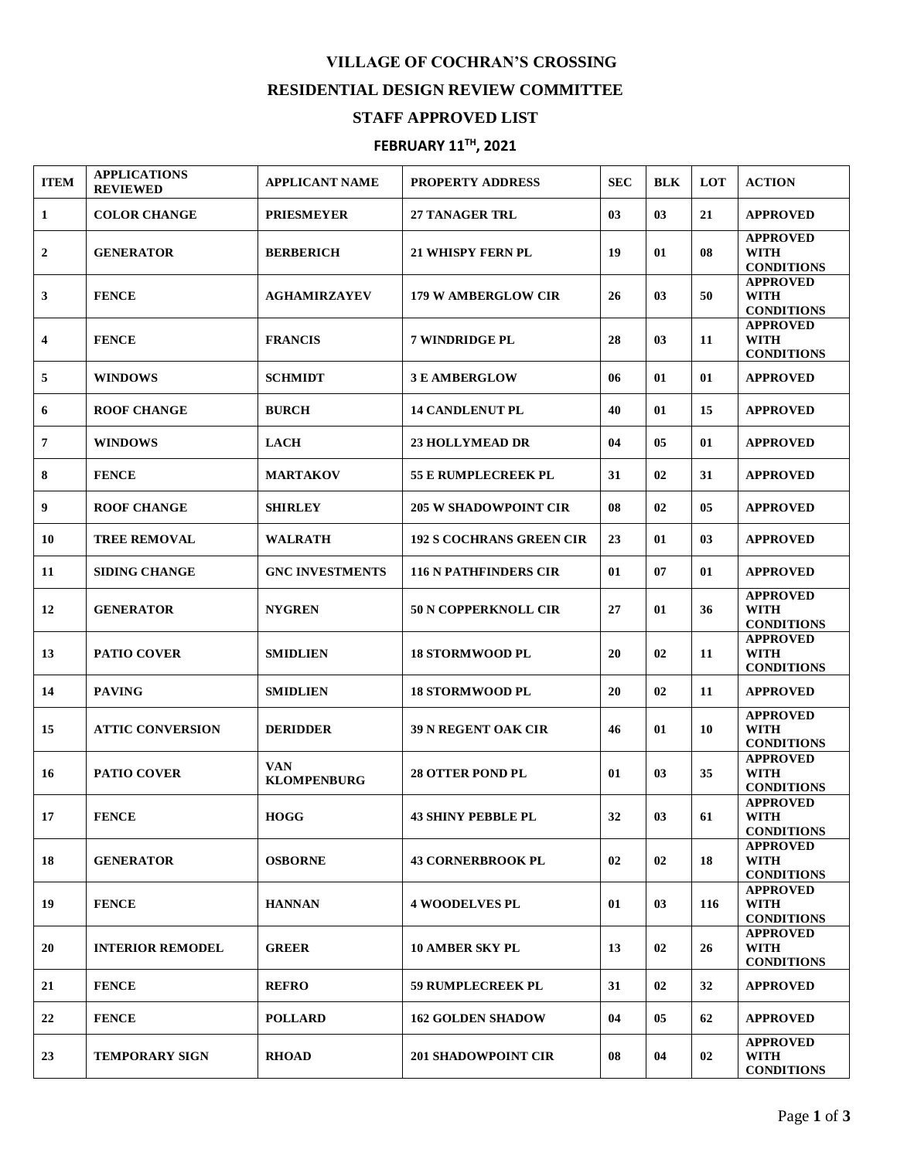## **VILLAGE OF COCHRAN'S CROSSING RESIDENTIAL DESIGN REVIEW COMMITTEE**

## **STAFF APPROVED LIST**

## **FEBRUARY 11 TH , 2021**

| <b>ITEM</b>      | <b>APPLICATIONS</b><br><b>REVIEWED</b> | <b>APPLICANT NAME</b>     | <b>PROPERTY ADDRESS</b>         | <b>SEC</b> | <b>BLK</b> | <b>LOT</b> | <b>ACTION</b>                                       |
|------------------|----------------------------------------|---------------------------|---------------------------------|------------|------------|------------|-----------------------------------------------------|
| 1                | <b>COLOR CHANGE</b>                    | <b>PRIESMEYER</b>         | 27 TANAGER TRL                  | 03         | 03         | 21         | <b>APPROVED</b>                                     |
| $\boldsymbol{2}$ | <b>GENERATOR</b>                       | <b>BERBERICH</b>          | <b>21 WHISPY FERN PL</b>        | 19         | 01         | 08         | <b>APPROVED</b><br>WITH<br><b>CONDITIONS</b>        |
| 3                | <b>FENCE</b>                           | <b>AGHAMIRZAYEV</b>       | <b>179 W AMBERGLOW CIR</b>      | 26         | 03         | 50         | <b>APPROVED</b><br>WITH<br><b>CONDITIONS</b>        |
| 4                | <b>FENCE</b>                           | <b>FRANCIS</b>            | 7 WINDRIDGE PL                  | 28         | 03         | 11         | <b>APPROVED</b><br>WITH<br><b>CONDITIONS</b>        |
| 5                | <b>WINDOWS</b>                         | <b>SCHMIDT</b>            | <b>3 E AMBERGLOW</b>            | 06         | 01         | 01         | <b>APPROVED</b>                                     |
| 6                | <b>ROOF CHANGE</b>                     | <b>BURCH</b>              | <b>14 CANDLENUT PL</b>          | 40         | 01         | 15         | <b>APPROVED</b>                                     |
| 7                | <b>WINDOWS</b>                         | <b>LACH</b>               | <b>23 HOLLYMEAD DR</b>          | 04         | 05         | 01         | <b>APPROVED</b>                                     |
| 8                | <b>FENCE</b>                           | <b>MARTAKOV</b>           | <b>55 E RUMPLECREEK PL</b>      | 31         | 02         | 31         | <b>APPROVED</b>                                     |
| 9                | <b>ROOF CHANGE</b>                     | <b>SHIRLEY</b>            | <b>205 W SHADOWPOINT CIR</b>    | 08         | 02         | 05         | <b>APPROVED</b>                                     |
| 10               | <b>TREE REMOVAL</b>                    | <b>WALRATH</b>            | <b>192 S COCHRANS GREEN CIR</b> | 23         | 01         | 03         | <b>APPROVED</b>                                     |
| 11               | <b>SIDING CHANGE</b>                   | <b>GNC INVESTMENTS</b>    | <b>116 N PATHFINDERS CIR</b>    | 01         | 07         | 01         | <b>APPROVED</b>                                     |
| 12               | <b>GENERATOR</b>                       | <b>NYGREN</b>             | <b>50 N COPPERKNOLL CIR</b>     | 27         | 01         | 36         | <b>APPROVED</b><br><b>WITH</b><br><b>CONDITIONS</b> |
| 13               | <b>PATIO COVER</b>                     | <b>SMIDLIEN</b>           | <b>18 STORMWOOD PL</b>          | 20         | 02         | 11         | <b>APPROVED</b><br><b>WITH</b><br><b>CONDITIONS</b> |
| 14               | <b>PAVING</b>                          | <b>SMIDLIEN</b>           | <b>18 STORMWOOD PL</b>          | 20         | 02         | 11         | <b>APPROVED</b>                                     |
| 15               | <b>ATTIC CONVERSION</b>                | <b>DERIDDER</b>           | <b>39 N REGENT OAK CIR</b>      | 46         | 01         | 10         | <b>APPROVED</b><br><b>WITH</b><br><b>CONDITIONS</b> |
| 16               | <b>PATIO COVER</b>                     | VAN<br><b>KLOMPENBURG</b> | <b>28 OTTER POND PL</b>         | 01         | 03         | 35         | <b>APPROVED</b><br><b>WITH</b><br><b>CONDITIONS</b> |
| 17               | <b>FENCE</b>                           | <b>HOGG</b>               | <b>43 SHINY PEBBLE PL</b>       | 32         | 03         | 61         | <b>APPROVED</b><br><b>WITH</b><br><b>CONDITIONS</b> |
| 18               | <b>GENERATOR</b>                       | <b>OSBORNE</b>            | <b>43 CORNERBROOK PL</b>        | 02         | 02         | 18         | <b>APPROVED</b><br>WITH<br><b>CONDITIONS</b>        |
| 19               | <b>FENCE</b>                           | <b>HANNAN</b>             | <b>4 WOODELVES PL</b>           | 01         | 03         | 116        | <b>APPROVED</b><br><b>WITH</b><br><b>CONDITIONS</b> |
| 20               | <b>INTERIOR REMODEL</b>                | <b>GREER</b>              | <b>10 AMBER SKY PL</b>          | 13         | 02         | 26         | <b>APPROVED</b><br><b>WITH</b><br><b>CONDITIONS</b> |
| 21               | <b>FENCE</b>                           | <b>REFRO</b>              | <b>59 RUMPLECREEK PL</b>        | 31         | 02         | 32         | <b>APPROVED</b>                                     |
| 22               | <b>FENCE</b>                           | <b>POLLARD</b>            | <b>162 GOLDEN SHADOW</b>        | 04         | 05         | 62         | <b>APPROVED</b>                                     |
| 23               | <b>TEMPORARY SIGN</b>                  | <b>RHOAD</b>              | <b>201 SHADOWPOINT CIR</b>      | 08         | 04         | 02         | <b>APPROVED</b><br>WITH<br><b>CONDITIONS</b>        |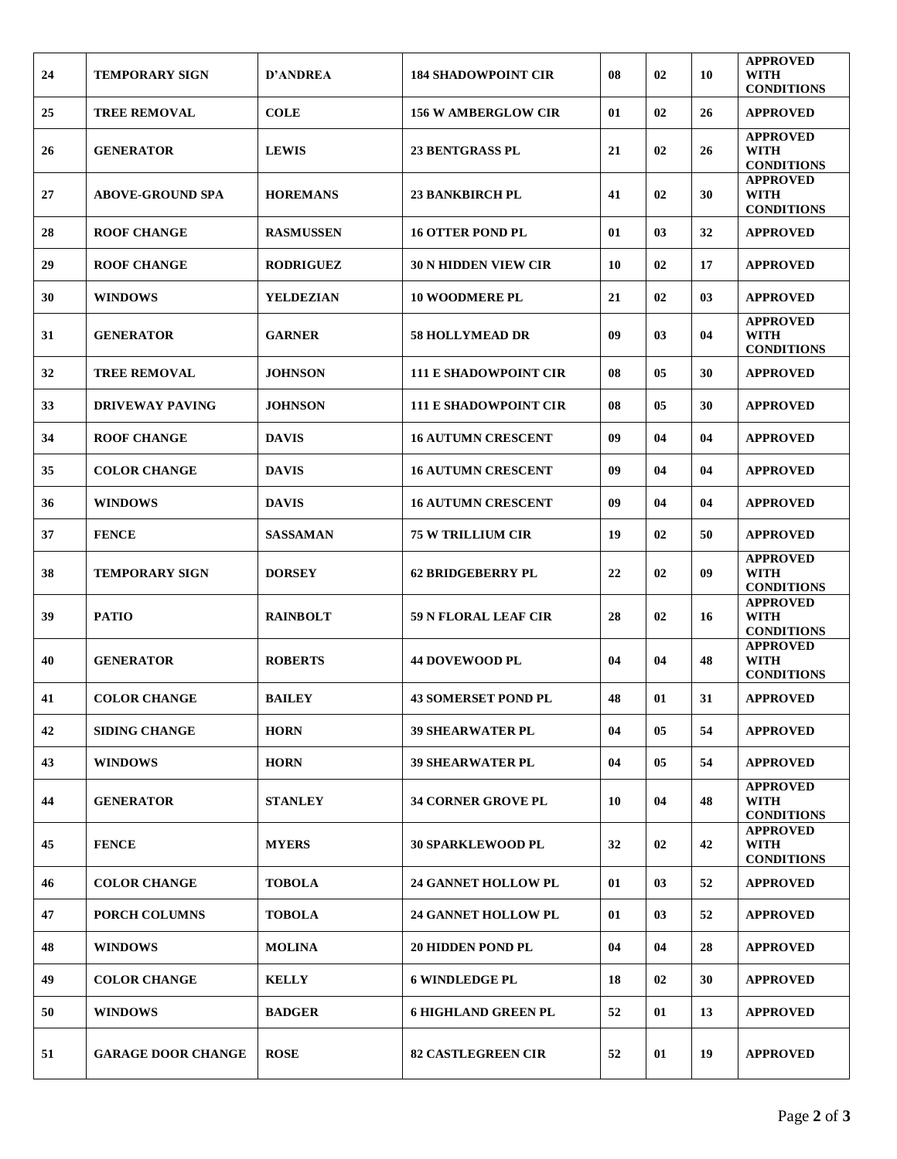| 24 | <b>TEMPORARY SIGN</b>     | <b>D'ANDREA</b>  | <b>184 SHADOWPOINT CIR</b>   | 08 | 02 | 10 | <b>APPROVED</b><br>WITH                             |
|----|---------------------------|------------------|------------------------------|----|----|----|-----------------------------------------------------|
| 25 | <b>TREE REMOVAL</b>       | <b>COLE</b>      | <b>156 W AMBERGLOW CIR</b>   | 01 | 02 | 26 | <b>CONDITIONS</b><br><b>APPROVED</b>                |
| 26 | <b>GENERATOR</b>          | <b>LEWIS</b>     | <b>23 BENTGRASS PL</b>       | 21 | 02 | 26 | <b>APPROVED</b><br><b>WITH</b><br><b>CONDITIONS</b> |
| 27 | <b>ABOVE-GROUND SPA</b>   | <b>HOREMANS</b>  | <b>23 BANKBIRCH PL</b>       | 41 | 02 | 30 | <b>APPROVED</b><br>WITH<br><b>CONDITIONS</b>        |
| 28 | <b>ROOF CHANGE</b>        | <b>RASMUSSEN</b> | <b>16 OTTER POND PL</b>      | 01 | 03 | 32 | <b>APPROVED</b>                                     |
| 29 | <b>ROOF CHANGE</b>        | <b>RODRIGUEZ</b> | <b>30 N HIDDEN VIEW CIR</b>  | 10 | 02 | 17 | <b>APPROVED</b>                                     |
| 30 | <b>WINDOWS</b>            | YELDEZIAN        | <b>10 WOODMERE PL</b>        | 21 | 02 | 03 | <b>APPROVED</b>                                     |
| 31 | <b>GENERATOR</b>          | <b>GARNER</b>    | <b>58 HOLLYMEAD DR</b>       | 09 | 03 | 04 | <b>APPROVED</b><br><b>WITH</b><br><b>CONDITIONS</b> |
| 32 | <b>TREE REMOVAL</b>       | <b>JOHNSON</b>   | <b>111 E SHADOWPOINT CIR</b> | 08 | 05 | 30 | <b>APPROVED</b>                                     |
| 33 | <b>DRIVEWAY PAVING</b>    | <b>JOHNSON</b>   | <b>111 E SHADOWPOINT CIR</b> | 08 | 05 | 30 | <b>APPROVED</b>                                     |
| 34 | <b>ROOF CHANGE</b>        | <b>DAVIS</b>     | <b>16 AUTUMN CRESCENT</b>    | 09 | 04 | 04 | <b>APPROVED</b>                                     |
| 35 | <b>COLOR CHANGE</b>       | <b>DAVIS</b>     | <b>16 AUTUMN CRESCENT</b>    | 09 | 04 | 04 | <b>APPROVED</b>                                     |
| 36 | <b>WINDOWS</b>            | <b>DAVIS</b>     | <b>16 AUTUMN CRESCENT</b>    | 09 | 04 | 04 | <b>APPROVED</b>                                     |
| 37 | <b>FENCE</b>              | <b>SASSAMAN</b>  | <b>75 W TRILLIUM CIR</b>     | 19 | 02 | 50 | <b>APPROVED</b>                                     |
| 38 | <b>TEMPORARY SIGN</b>     | <b>DORSEY</b>    | <b>62 BRIDGEBERRY PL</b>     | 22 | 02 | 09 | <b>APPROVED</b><br><b>WITH</b><br><b>CONDITIONS</b> |
| 39 | <b>PATIO</b>              | <b>RAINBOLT</b>  | <b>59 N FLORAL LEAF CIR</b>  | 28 | 02 | 16 | <b>APPROVED</b><br><b>WITH</b><br><b>CONDITIONS</b> |
| 40 | <b>GENERATOR</b>          | <b>ROBERTS</b>   | <b>44 DOVEWOOD PL</b>        | 04 | 04 | 48 | <b>APPROVED</b><br><b>WITH</b><br><b>CONDITIONS</b> |
| 41 | <b>COLOR CHANGE</b>       | <b>BAILEY</b>    | <b>43 SOMERSET POND PL</b>   | 48 | 01 | 31 | <b>APPROVED</b>                                     |
| 42 | <b>SIDING CHANGE</b>      | <b>HORN</b>      | <b>39 SHEARWATER PL</b>      | 04 | 05 | 54 | <b>APPROVED</b>                                     |
| 43 | <b>WINDOWS</b>            | <b>HORN</b>      | <b>39 SHEARWATER PL</b>      | 04 | 05 | 54 | <b>APPROVED</b>                                     |
| 44 | <b>GENERATOR</b>          | <b>STANLEY</b>   | <b>34 CORNER GROVE PL</b>    | 10 | 04 | 48 | <b>APPROVED</b><br><b>WITH</b><br><b>CONDITIONS</b> |
| 45 | <b>FENCE</b>              | <b>MYERS</b>     | <b>30 SPARKLEWOOD PL</b>     | 32 | 02 | 42 | <b>APPROVED</b><br><b>WITH</b><br><b>CONDITIONS</b> |
| 46 | <b>COLOR CHANGE</b>       | <b>TOBOLA</b>    | <b>24 GANNET HOLLOW PL</b>   | 01 | 03 | 52 | <b>APPROVED</b>                                     |
| 47 | PORCH COLUMNS             | <b>TOBOLA</b>    | <b>24 GANNET HOLLOW PL</b>   | 01 | 03 | 52 | <b>APPROVED</b>                                     |
| 48 | <b>WINDOWS</b>            | <b>MOLINA</b>    | <b>20 HIDDEN POND PL</b>     | 04 | 04 | 28 | <b>APPROVED</b>                                     |
| 49 | <b>COLOR CHANGE</b>       | <b>KELLY</b>     | <b>6 WINDLEDGE PL</b>        | 18 | 02 | 30 | <b>APPROVED</b>                                     |
| 50 | <b>WINDOWS</b>            | <b>BADGER</b>    | <b>6 HIGHLAND GREEN PL</b>   | 52 | 01 | 13 | <b>APPROVED</b>                                     |
| 51 | <b>GARAGE DOOR CHANGE</b> | <b>ROSE</b>      | <b>82 CASTLEGREEN CIR</b>    | 52 | 01 | 19 | <b>APPROVED</b>                                     |